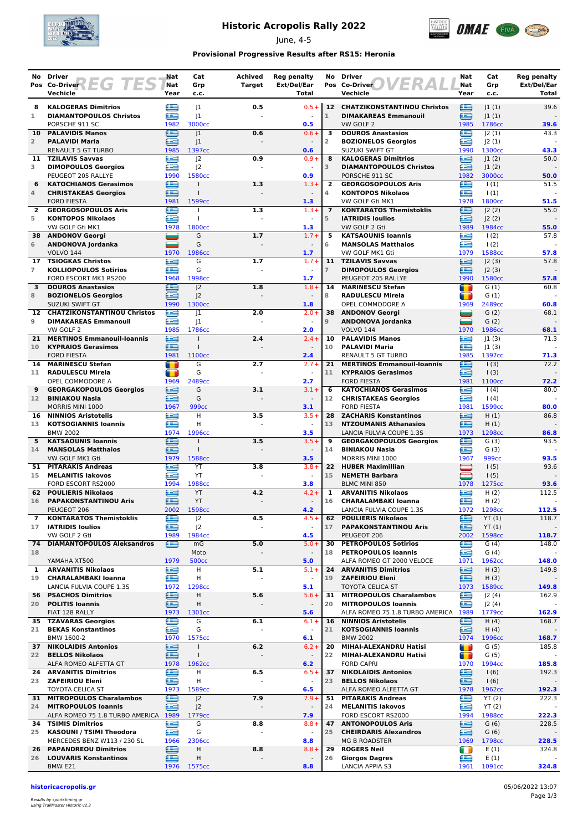

## **Historic Acropolis Rally 2022**

June, 4-5



### **Provisional Progressive Results after RS15: Heronia**

| No.             | <b>Driver</b><br>Pos Co-Driver <b>EG TES</b>                       | Nat<br>Nat          | Cat<br>Grp                           | Achived<br><b>Target</b> | <b>Reg penalty</b><br>Ext/Del/Ear | No             | <b>Driver</b><br>Pos Co-Driver                               | Nat<br>Nat                           | Cat<br>Grp                  | <b>Reg penalty</b><br>Ext/Del/Ear |
|-----------------|--------------------------------------------------------------------|---------------------|--------------------------------------|--------------------------|-----------------------------------|----------------|--------------------------------------------------------------|--------------------------------------|-----------------------------|-----------------------------------|
|                 | Vechicle                                                           | Year                | c.c.                                 |                          | Total                             |                | Vechicle                                                     | Year                                 | c.c.                        | Total                             |
| 8               | <b>KALOGERAS Dimitrios</b>                                         | ≘                   | 1                                    | 0.5                      | $0.5 +$                           |                | 12 CHATZIKONSTANTINOU Christos                               | ≘                                    | 1(1)                        | 39.6                              |
| $\mathbf{1}$    | <b>DIAMANTOPOULOS Christos</b>                                     | œ                   | 1                                    |                          |                                   | $\mathbf{1}$   | <b>DIMAKAREAS Emmanouil</b>                                  | £                                    | 1(1)                        |                                   |
| 10              | PORSCHE 911 SC                                                     | 1982<br>≘           | 3000cc                               |                          | 0.5<br>$0.6 +$                    | 3              | VW GOLF 2<br><b>DOUROS Anastasios</b>                        | 1985<br>Æ                            | 1786cc                      | 39.6<br>43.3                      |
| $\overline{2}$  | <b>PALAVIDIS Manos</b><br><b>PALAVIDI Maria</b>                    | ∈                   | 1<br>J1                              | 0.6                      |                                   | $\overline{2}$ | <b>BOZIONELOS Georgios</b>                                   | ≘                                    | 2(1) <br> 2(1)              |                                   |
|                 | <b>RENAULT 5 GT TURBO</b>                                          | 1985                | 1397cc                               |                          | 0.6                               |                | SUZUKI SWIFT GT                                              | 1990                                 | 1300cc                      | 43.3                              |
| 11              | <b>TZILAVIS Savvas</b>                                             | œ                   | 2                                    | 0.9                      | $0.9 +$                           | 8              | <b>KALOGERAS Dimitrios</b>                                   | ≘                                    | 1(2)                        | 50.0                              |
| 3               | <b>DIMOPOULOS Georgios</b><br>PEUGEOT 205 RALLYE                   | æ<br>1990           | J <sub>2</sub><br>1580cc             |                          | $\overline{\phantom{a}}$<br>0.9   | 3              | <b>DIAMANTOPOULOS Christos</b><br>PORSCHE 911 SC             | œ<br>1982                            | 1(2) <br>3000 <sub>cc</sub> | 50.0                              |
| 6               | <b>KATOCHIANOS Gerasimos</b>                                       | €                   | $\mathbf{I}$                         | 1.3                      | $1.3+$                            | $\overline{2}$ | <b>GEORGOSOPOULOS Aris</b>                                   | ⊟                                    | $\vert$ (1)                 | 51.5                              |
| 4               | <b>CHRISTAKEAS Georgios</b>                                        | ≘                   | $\mathbf{I}$                         |                          |                                   | 4              | <b>KONTOPOS Nikolaos</b>                                     | œ                                    | $\vert$ (1)                 |                                   |
| $\mathbf{2}$    | <b>FORD FIESTA</b><br><b>GEORGOSOPOULOS Aris</b>                   | 1981<br>£           | 1599cc<br>т                          | 1.3                      | 1.3<br>$1.3+$                     | $\overline{7}$ | VW GOLF Gti MK1<br><b>KONTARATOS Themistoklis</b>            | 1978<br>œ                            | 1800cc<br> 2(2)             | 51.5<br>55.0                      |
| 5               | <b>KONTOPOS Nikolaos</b>                                           | e                   | T                                    |                          |                                   | 5              | <b>IATRIDIS Ioulios</b>                                      | ≘                                    | J2(2)                       |                                   |
|                 | VW GOLF Gti MK1                                                    | 1978                | 1800cc                               |                          | 1.3                               |                | VW GOLF 2 Gti                                                | 1989                                 | 1984cc                      | 55.0                              |
| 38              | <b>ANDONOV Georgi</b>                                              | =                   | G                                    | 1.7                      | $1.7 +$                           | 5              | <b>KATSAOUNIS Ioannis</b>                                    | £                                    | 1(2)                        | 57.8                              |
| 6               | ANDONOVA Jordanka<br><b>VOLVO 144</b>                              | =<br>1970           | G<br>1986cc                          |                          | $\sim$<br>1.7                     | 6              | <b>MANSOLAS Matthaios</b><br>VW GOLF MK1 Gti                 | œ<br>1979                            | $\frac{1(2)}{2}$<br>1588cc  | 57.8                              |
| 17              | <b>TSIOGKAS Christos</b>                                           | ⋐                   | G                                    | 1.7                      | $1.7 +$                           | 11             | <b>TZILAVIS Savvas</b>                                       | £                                    | J2(3)                       | 57.8                              |
| $\overline{7}$  | <b>KOLLIOPOULOS Sotirios</b>                                       | æ                   | G                                    |                          |                                   | $\overline{7}$ | <b>DIMOPOULOS Georgios</b>                                   | œ                                    | J2(3)                       |                                   |
| 3               | FORD ESCORT MK1 RS200<br><b>DOUROS Anastasios</b>                  | 1968<br>£           | 1998cc<br> 2                         | 1.8                      | 1.7<br>$1.8 +$                    | 14             | PEUGEOT 205 RALLYE<br><b>MARINESCU Stefan</b>                | 1990<br>$\blacksquare$               | 1580cc<br>G(1)              | 57.8<br>60.8                      |
| 8               | <b>BOZIONELOS Georgios</b>                                         | ∈                   | J <sup>2</sup>                       |                          |                                   | 8              | <b>RADULESCU Mirela</b>                                      | T                                    | G(1)                        |                                   |
|                 | SUZUKI SWIFT GT                                                    | 1990                | 1300cc                               |                          | 1.8                               |                | OPEL COMMODORE A                                             | 1969                                 | 2489cc                      | 60.8                              |
| 12              | <b>CHATZIKONSTANTINOU Christos</b>                                 | ≘                   | 1                                    | 2.0                      | $2.0 +$                           | 38             | <b>ANDONOV Georgi</b>                                        | ▄                                    | G(2)                        | 68.1                              |
| 9               | <b>DIMAKAREAS Emmanouil</b><br>VW GOLF 2                           | œ<br>1985           | 1<br>1786cc                          |                          | $\sim$<br>2.0                     | 9              | ANDONOVA Jordanka<br><b>VOLVO 144</b>                        | =<br>1970                            | G(2)<br>1986cc              | 68.1                              |
| 21              | <b>MERTINOS Emmanouil-Ioannis</b>                                  | ఆ                   |                                      | 2.4                      | $2.4 +$                           | 10             | <b>PALAVIDIS Manos</b>                                       | e                                    | 1(3)                        | 71.3                              |
| 10              | <b>KYPRAIOS Gerasimos</b>                                          | £                   | $\mathbf{I}$                         |                          |                                   | 10             | <b>PALAVIDI Maria</b>                                        | œ                                    | 1(3)                        |                                   |
|                 | <b>FORD FIESTA</b>                                                 | 1981                | 1100cc<br>G                          | 2.7                      | 2.4<br>$2.7 +$                    |                | <b>RENAULT 5 GT TURBO</b><br>21 MERTINOS Emmanouil-Ioannis   | 1985<br>Œ                            | 1397cc                      | 71.3<br>72.2                      |
| 14<br>11        | <b>MARINESCU Stefan</b><br><b>RADULESCU Mirela</b>                 | $\blacksquare$<br>m | G                                    |                          |                                   | 11             | <b>KYPRAIOS Gerasimos</b>                                    | ≘                                    | 1(3)<br>$\vert$ (3)         |                                   |
|                 | OPEL COMMODORE A                                                   | 1969                | 2489cc                               |                          | 2.7                               |                | <b>FORD FIESTA</b>                                           | 1981                                 | 1100cc                      | 72.2                              |
| 9               | <b>GEORGAKOPOULOS Georgios</b>                                     | ≘                   | G                                    | 3.1                      | $3.1 +$                           | 6              | <b>KATOCHIANOS Gerasimos</b>                                 | œ                                    | (4)                         | 80.0                              |
| 12 <sup>7</sup> | <b>BINIAKOU Nasia</b><br>MORRIS MINI 1000                          | ≘<br>1967           | G<br><b>999cc</b>                    |                          | $\sim$<br>3.1                     | 12             | <b>CHRISTAKEAS Georgios</b><br><b>FORD FIESTA</b>            | £<br>1981                            | (4)<br>1599cc               | 80.0                              |
| 16              | <b>NINNIOS Aristotelis</b>                                         | œ                   | H                                    | 3.5                      | $3.5+$                            | 28             | <b>ZACHARIS Konstantinos</b>                                 | e                                    | H(1)                        | 86.8                              |
| 13              | <b>KOTSOGIANNIS loannis</b>                                        | æ                   | H                                    |                          |                                   | 13             | <b>NTZOUMANIS Athanasios</b>                                 | œ                                    | H(1)                        |                                   |
| 5               | <b>BMW 2002</b><br><b>KATSAOUNIS loannis</b>                       | 1974<br>œ           | 1996cc<br>$\mathbf{I}$               | 3.5                      | 3.5<br>$3.5+$                     | 9              | LANCIA FULVIA COUPE 1.3S                                     | 1973<br>≘                            | 1298cc<br>G(3)              | 86.8<br>93.5                      |
| 14              | <b>MANSOLAS Matthaios</b>                                          | £                   | $\mathbf{I}$                         |                          |                                   | 14             | <b>GEORGAKOPOULOS Georgios</b><br><b>BINIAKOU Nasia</b>      | œ                                    | G(3)                        |                                   |
|                 | VW GOLF MK1 Gti                                                    | 1979                | 1588cc                               |                          | 3.5                               |                | MORRIS MINI 1000                                             | 1967                                 | 999 <sub>cc</sub>           | 93.5                              |
| 51              | <b>PITARAKIS Andreas</b>                                           | æ                   | YT                                   | 3.8                      | $3.8 +$                           | 22             | <b>HUBER Maximillian</b>                                     |                                      | 1(5)                        | 93.6                              |
| 15              | <b>MELANITIS lakovos</b><br>FORD ESCORT RS2000                     | £<br>1994           | YT<br>1988cc                         |                          | $\omega$<br>3.8                   | 15             | <b>NEMETH Barbara</b><br><b>BLMC MINI 850</b>                | $\qquad \qquad \blacksquare$<br>1978 | 1(5)<br>1275cc              | 93.6                              |
| 62.             | <b>POULIERIS Nikolaos</b>                                          | ≘                   | YT                                   | 4.2                      | $4.2 +$                           | 1              | <b>ARVANITIS Nikolaos</b>                                    | ≘                                    | H(2)                        | 112.5                             |
| 16              | <b>PAPAKONSTANTINOU Aris</b>                                       | Œ                   | YT                                   |                          |                                   | 16             | <b>CHARALAMBAKI Ioanna</b>                                   | ≘                                    | H(2)                        |                                   |
| 7               | PEUGEOT 206<br><b>KONTARATOS Themistoklis</b>                      | 2002<br>œ           | 1598cc<br>J2                         | 4.5                      | 4.2<br>$4.5+$                     | 62             | <b>LANCIA FULVIA COUPE 1.3S</b><br><b>POULIERIS Nikolaos</b> | 1972<br>≘                            | 1298cc<br>YT(1)             | 112.5<br>118.7                    |
| 17              | <b>IATRIDIS Ioulios</b>                                            | £                   | J <sup>2</sup>                       |                          | $\blacksquare$                    | 17             | <b>PAPAKONSTANTINOU Aris</b>                                 | ≘                                    | YT(1)                       |                                   |
|                 | VW GOLF 2 Gti                                                      | 1989                | 1984cc                               |                          | 4.5                               |                | PEUGEOT 206                                                  | 2002                                 | 1598cc                      | 118.7                             |
| 74              | <b>DIAMANTOPOULOS Aleksandros</b>                                  | £                   | mG                                   | 5.0                      | $5.0+$                            | 30             | <b>PETROPOULOS Sotirios</b>                                  | œ                                    | G(4)                        | 148.0                             |
| 18              | YAMAHA XT500                                                       | 1979                | Moto<br><b>500cc</b>                 | $\overline{\phantom{a}}$ | $\overline{\phantom{a}}$<br>5.0   | 18             | <b>PETROPOULOS Ioannis</b><br>ALFA ROMEO GT 2000 VELOCE      | £<br>1971                            | G(4)<br>1962cc              | 148.0                             |
| 1               | <b>ARVANITIS Nikolaos</b>                                          | G                   | Н                                    | 5.1                      | $5.1+$                            | 24             | <b>ARVANITIS Dimitrios</b>                                   | ≘                                    | H(3)                        | 149.8                             |
| 19              | <b>CHARALAMBAKI Ioanna</b>                                         | œ                   | Н                                    |                          | $\sim$                            | 19             | <b>ZAFEIRIOU Eleni</b>                                       | ≘                                    | H(3)                        |                                   |
| 56              | LANCIA FULVIA COUPE 1.3S<br><b>PSACHOS Dimitrios</b>               | 1972<br>∈           | 1298cc<br>н                          | 5.6                      | 5.1<br>$5.6+$                     | 31             | <b>TOYOTA CELICA ST</b><br><b>MITROPOULOS Charalambos</b>    | 1973<br>≘                            | 1589cc<br>J2(4)             | 149.8<br>162.9                    |
| 20              | <b>POLITIS Ioannis</b>                                             | ≘                   | н                                    |                          | $\overline{\phantom{a}}$          | 20             | <b>MITROPOULOS Ioannis</b>                                   | ≘                                    | J2(4)                       |                                   |
|                 | FIAT 128 RALLY                                                     | 1973                | 1301cc                               |                          | 5.6                               |                | ALFA ROMEO 75 1.8 TURBO AMERICA 1989                         |                                      | 1779 <sub>cc</sub>          | 162.9                             |
|                 | <b>35 TZAVARAS Georgios</b>                                        | ⋐                   | G                                    | 6.1                      | $6.1 +$                           | 16             | <b>NINNIOS Aristotelis</b>                                   | ≘                                    | H(4)                        | 168.7                             |
| 21              | <b>BEKAS Konstantinos</b><br>BMW 1600-2                            | ⋐<br>1970           | G<br>1575cc                          |                          | $\blacksquare$<br>6.1             | 21             | <b>KOTSOGIANNIS Ioannis</b><br><b>BMW 2002</b>               | ≘<br>1974                            | H(4)<br>1996cc              | 168.7                             |
|                 | <b>37 NIKOLAIDIS Antonios</b>                                      | ఆ                   | $\mathbf{I}$                         | 6.2                      | $6.2 +$                           | 20             | MIHAI-ALEXANDRU Hatisi                                       | $\blacksquare$                       | G(5)                        | 185.8                             |
| 22              | <b>BELLOS Nikolaos</b>                                             | ∈                   | $\mathbf{I}$                         |                          |                                   | 22             | MIHAI-ALEXANDRU Hatisi                                       | m                                    | G(5)                        |                                   |
|                 | ALFA ROMEO ALFETTA GT<br>24 ARVANITIS Dimitrios                    | 1978<br>œ           | 1962cc<br>н                          | 6.5                      | 6.2<br>$6.5+$                     | 37             | <b>FORD CAPRI</b><br><b>NIKOLAIDIS Antonios</b>              | 1970<br>≘                            | 1994cc<br>1(6)              | 185.8<br>192.3                    |
|                 | 23 ZAFEIRIOU Eleni                                                 | œ                   | H                                    | $\overline{a}$           | $\overline{\phantom{a}}$          | 23             | <b>BELLOS Nikolaos</b>                                       | ≘                                    | 1(6)                        |                                   |
|                 | TOYOTA CELICA ST                                                   | 1973                | 1589cc                               |                          | 6.5                               |                | ALFA ROMEO ALFETTA GT                                        | 1978                                 | 1962cc                      | 192.3                             |
| 31.             | <b>MITROPOULOS Charalambos</b>                                     | ఆ                   | J <sup>2</sup>                       | 7.9                      | $7.9+$                            | 51             | <b>PITARAKIS Andreas</b>                                     | ≘                                    | YT(2)                       | 222.3                             |
| 24              | <b>MITROPOULOS Ioannis</b><br>ALFA ROMEO 75 1.8 TURBO AMERICA 1989 | £                   | J <sup>2</sup><br>1779 <sub>cc</sub> |                          | $\overline{\phantom{a}}$<br>7.9   | 24             | <b>MELANITIS lakovos</b><br>FORD ESCORT RS2000               | œ<br>1994                            | YT(2)<br>1988cc             | 222.3                             |
|                 | <b>34 TSIMIS Dimitrios</b>                                         | e                   | G                                    | 8.8                      | $8.8 +$                           | 47             | <b>ANTONOPOULOS Aris</b>                                     | ∈                                    | G(6)                        | 228.5                             |
| 25              | KASOUNI / TSIMI Theodora                                           | ఆ                   | G                                    |                          |                                   | 25             | <b>CHEIRDARIS Alexandros</b>                                 | ≘                                    | G(6)                        |                                   |
| 26              | MERCEDES BENZ W113 / 230 SL<br><b>PAPANDREOU Dimitrios</b>         | 1966<br>≘           | 2306cc<br>н                          | 8.8                      | 8.8<br>$8.8 +$                    | 29             | <b>MG B ROADSTER</b><br><b>ROGERS Neil</b>                   | 1969<br>a n                          | 1798cc<br>E(1)              | 228.5<br>324.8                    |
|                 | 26 LOUVARIS Konstantinos                                           | ≘                   | Η                                    |                          |                                   | 26             | <b>Giorgos Dagres</b>                                        | œ                                    | E(1)                        |                                   |
|                 | BMW E21                                                            |                     | 1976 1575cc                          |                          | 8.8                               |                | <b>LANCIA APPIA S3</b>                                       | 1961                                 | 1091cc                      | 324.8                             |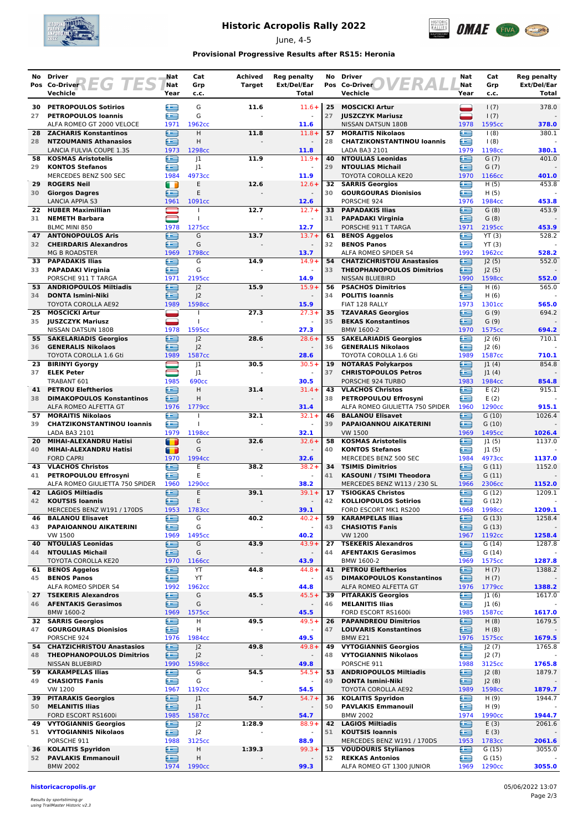

## **Historic Acropolis Rally 2022**

June, 4-5



#### **Provisional Progressive Results after RS15: Heronia**

| No       | Driver                                                   | Nat            | Cat                                  | Achived       | <b>Reg penalty</b>               |          | No Driver                                                            | Nat         | Cat                | <b>Reg penalty</b>   |
|----------|----------------------------------------------------------|----------------|--------------------------------------|---------------|----------------------------------|----------|----------------------------------------------------------------------|-------------|--------------------|----------------------|
|          | Pos Co-Driver<br>$\overline{\phantom{a}}$<br>Vechicle    | Nat<br>Year    | Grp<br>c.c.                          | <b>Target</b> | Ext/Del/Ear<br>Total             |          | Pos Co-Driver<br>Vechicle                                            | Nat<br>Year | Grp<br>c.c.        | Ext/Del/Ear<br>Total |
|          |                                                          |                |                                      |               |                                  |          |                                                                      |             |                    |                      |
| 30       | <b>PETROPOULOS Sotirios</b>                              | 生              | G                                    | 11.6          | $11.6+$                          | 25       | <b>MOSCICKI Artur</b>                                                |             | 1(7)               | 378.0                |
| 27       | <b>PETROPOULOS Ioannis</b><br>ALFA ROMEO GT 2000 VELOCE  | £<br>1971      | G<br>1962cc                          |               | 11.6                             | 27       | <b>JUSZCZYK Mariusz</b><br>NISSAN DATSUN 180B                        | 1978        | 1(7)<br>1595cc     | 378.0                |
| 28       | <b>ZACHARIS Konstantinos</b>                             | ≘              | Н                                    | 11.8          | $11.8 +$                         | 57       | <b>MORAITIS Nikolaos</b>                                             | œ           | (8)                | 380.1                |
| 28       | <b>NTZOUMANIS Athanasios</b>                             | œ              | H                                    |               |                                  | 28       | <b>CHATZIKONSTANTINOU loannis</b>                                    | £           | (8)                |                      |
|          | LANCIA FULVIA COUPE 1.3S                                 | 1973           | 1298cc                               |               | 11.8                             |          | LADA BA3 2101                                                        | 1979        | 1198cc             | 380.1                |
| 58<br>29 | <b>KOSMAS Aristotelis</b>                                | ∈<br>æ         | 1                                    | 11.9          | $11.9+$<br>$\blacksquare$        | 40       | <b>NTOULIAS Leonidas</b>                                             | £<br>œ      | G(7)               | 401.0                |
|          | <b>KONTOS Stefanos</b><br>MERCEDES BENZ 500 SEC          | 1984           | 1<br>4973cc                          |               | 11.9                             | 29       | <b>NTOULIAS Michail</b><br>TOYOTA COROLLA KE20                       | 1970        | G(7)<br>1166cc     | 401.0                |
| 29       | <b>ROGERS Neil</b>                                       | $\blacksquare$ | E                                    | 12.6          | $12.6+$                          | 32       | <b>SARRIS Georgios</b>                                               | œ           | H(5)               | 453.8                |
| 30       | <b>Giorgos Dagres</b>                                    | œ              | E                                    |               |                                  | 30       | <b>GOURGOURAS Dionisios</b>                                          | £           | H(5)               |                      |
|          | <b>LANCIA APPIA S3</b>                                   | 1961           | 1091cc                               |               | 12.6                             |          | PORSCHE 924                                                          | 1976        | 1984cc             | 453.8                |
| 22<br>31 | <b>HUBER Maximillian</b><br><b>NEMETH Barbara</b>        |                | T                                    | 12.7          | $12.7 +$                         | 33<br>31 | <b>PAPADAKIS Ilias</b><br><b>PAPADAKI Virginia</b>                   | æ<br>£      | G(8)<br>G(8)       | 453.9                |
|          | <b>BLMC MINI 850</b>                                     | 1978           | 1275cc                               |               | 12.7                             |          | PORSCHE 911 T TARGA                                                  | 1971        | 2195cc             | 453.9                |
| 47       | <b>ANTONOPOULOS Aris</b>                                 | ∈              | G                                    | 13.7          | $13.7 +$                         | 61       | <b>BENOS Aggelos</b>                                                 | œ           | YT(3)              | 528.2                |
| 32       | <b>CHEIRDARIS Alexandros</b>                             | Æ              | G                                    |               |                                  | 32       | <b>BENOS Panos</b>                                                   | œ           | YT(3)              |                      |
| 33       | <b>MG B ROADSTER</b><br><b>PAPADAKIS Ilias</b>           | 1969           | 1798cc<br>G                          |               | 13.7<br>$14.9+$                  |          | ALFA ROMEO SPIDER S4                                                 | 1992        | 1962cc             | 528.2<br>552.0       |
| 33       | <b>PAPADAKI Virginia</b>                                 | ≘<br>æ         | G                                    | 14.9          |                                  | 54<br>33 | <b>CHATZICHRISTOU Anastasios</b><br><b>THEOPHANOPOULOS Dimitrios</b> | ≘<br>æ      | J2(5)<br>J2(5)     |                      |
|          | PORSCHE 911 T TARGA                                      | 1971           | 2195cc                               |               | 14.9                             |          | NISSAN BLUEBIRD                                                      | 1990        | 1598cc             | 552.0                |
| 53.      | <b>ANDRIOPOULOS Miltiadis</b>                            | £              | 2                                    | 15.9          | $15.9+$                          | 56       | <b>PSACHOS Dimitrios</b>                                             | £           | H(6)               | 565.0                |
| 34       | <b>DONTA Ismini-Niki</b>                                 | £              | 2                                    |               |                                  | 34       | <b>POLITIS Ioannis</b>                                               | £           | H(6)               |                      |
| 25       | TOYOTA COROLLA AE92<br><b>MOSCICKI Artur</b>             | 1989           | 1598cc<br>$\overline{1}$             | 27.3          | 15.9<br>$27.3+$                  | 35       | FIAT 128 RALLY<br><b>TZAVARAS Georgios</b>                           | 1973<br>∈   | 1301cc<br>G(9)     | 565.0<br>694.2       |
| 35       | <b>JUSZCZYK Mariusz</b>                                  |                |                                      |               |                                  | 35       | <b>BEKAS Konstantinos</b>                                            | £           | G(9)               |                      |
|          | NISSAN DATSUN 180B                                       | 1978           | 1595cc                               |               | 27.3                             |          | BMW 1600-2                                                           | 1970        | 1575cc             | 694.2                |
|          | 55 SAKELARIADIS Georgios                                 | ⋐              | 2                                    | 28.6          | $28.6+$                          | 55       | <b>SAKELARIADIS Georgios</b>                                         | œ           | 2(6)               | 710.1                |
| 36       | <b>GENERALIS Nikolaos</b>                                | œ              | J <sup>2</sup>                       |               |                                  | 36       | <b>GENERALIS Nikolaos</b>                                            | œ           | J2(6)              |                      |
| 23       | TOYOTA COROLLA 1.6 Gti<br><b>BIRINYI Gyorgy</b>          | 1989           | 1587cc<br> 1                         | 30.5          | 28.6<br>$30.5+$                  | 19       | <b>TOYOTA COROLLA 1.6 Gti</b><br><b>NOTARAS Polykarpos</b>           | 1989<br>æ   | 1587cc<br> 1(4)    | 710.1<br>854.8       |
| 37       | <b>ELEK Peter</b>                                        |                | 1                                    |               |                                  | 37       | <b>CHRISTOPOULOS Petros</b>                                          | £           | 1(4)               |                      |
|          | TRABANT 601                                              | 1985           | <b>690cc</b>                         |               | 30.5                             |          | PORSCHE 924 TURBO                                                    | 1983        | 1984cc             | 854.8                |
| 41       | <b>PETROU Eleftherios</b>                                | ≘              | Н                                    | 31.4          | $31.4 +$                         | 43       | <b>VLACHOS Christos</b>                                              | œ           | E(2)               | 915.1                |
| 38       | <b>DIMAKOPOULOS Konstantinos</b>                         | ∈              | H                                    |               |                                  | 38       | PETROPOULOU Effrosyni                                                | œ           | E(2)               |                      |
| 57       | ALFA ROMEO ALFETTA GT<br><b>MORAITIS Nikolaos</b>        | 1976<br>€      | 1779 <sub>cc</sub>                   | 32.1          | 31.4<br>$32.1+$                  | 46       | ALFA ROMEO GIULIETTA 750 SPIDER<br><b>BALANOU Elisavet</b>           | 1960<br>≘   | 1290cc<br>G(10)    | 915.1<br>1026.4      |
| 39       | <b>CHATZIKONSTANTINOU loannis</b>                        | £              |                                      |               |                                  | 39       | PAPAIOANNOU AIKATERINI                                               | æ           | G(10)              |                      |
|          | LADA BA3 2101                                            | 1979           | 1198cc                               |               | 32.1                             |          | <b>VW 1500</b>                                                       | 1969        | 1495cc             | 1026.4               |
| 20       | MIHAI-ALEXANDRU Hatisi                                   | $\blacksquare$ | G                                    | 32.6          | $32.6+$                          | 58       | <b>KOSMAS Aristotelis</b>                                            | œ           | 1(5)               | 1137.0               |
| 40       | MIHAI-ALEXANDRU Hatisi<br><b>FORD CAPRI</b>              | 43<br>1970     | G<br>1994cc                          |               | $\overline{\phantom{a}}$<br>32.6 | 40       | <b>KONTOS Stefanos</b><br>MERCEDES BENZ 500 SEC                      | œ<br>1984   | J1(5)<br>4973cc    | 1137.0               |
| 43       | <b>VLACHOS Christos</b>                                  | Œ              | E                                    | 38.2          | $38.2 +$                         | 34       | <b>TSIMIS Dimitrios</b>                                              | £           | G(11)              | 1152.0               |
| 41       | PETROPOULOU Effrosyni                                    | ≘              | E                                    |               |                                  | 41       | KASOUNI / TSIMI Theodora                                             | £           | G(11)              |                      |
|          | ALFA ROMEO GIULIETTA 750 SPIDER                          | 1960           | 1290cc                               |               | 38.2                             |          | MERCEDES BENZ W113 / 230 SL                                          | 1966        | 2306cc             | 1152.0               |
| 42       | <b>LAGIOS Miltiadis</b>                                  | ≘              | E                                    | 39.1          | $39.1 +$                         | 17       | <b>TSIOGKAS Christos</b>                                             | œ           | G(12)              | 1209.1               |
| 42       | <b>KOUTSIS Ioannis</b><br>MERCEDES BENZ W191 / 170DS     | Œ<br>1953      | E<br>1783cc                          |               | 39.1                             | 42       | <b>KOLLIOPOULOS Sotirios</b><br>FORD ESCORT MK1 RS200                | ≘<br>1968   | G(12)<br>1998cc    | 1209.1               |
| 46       | <b>BALANOU Elisavet</b>                                  | e              | G                                    | 40.2          | $40.2 +$                         | 59       | <b>KARAMPELAS Ilias</b>                                              | ≘           | G(13)              | 1258.4               |
| 43       | PAPAIOANNOU AIKATERINI                                   | £              | G                                    |               | $\blacksquare$                   | 43       | <b>CHASIOTIS Fanis</b>                                               | ∈           | G(13)              |                      |
|          | VW 1500                                                  | 1969           | 1495cc                               |               | 40.2                             |          | <b>VW 1200</b>                                                       | 1967        | 1192cc             | 1258.4               |
| 40<br>44 | <b>NTOULIAS Leonidas</b><br><b>NTOULIAS Michail</b>      | œ<br>≘         | G<br>G                               | 43.9          | $43.9+$                          | 27<br>44 | <b>TSEKERIS Alexandros</b><br><b>AFENTAKIS Gerasimos</b>             | £<br>≘      | G(14)<br>G(14)     | 1287.8               |
|          | TOYOTA COROLLA KE20                                      | 1970           | 1166cc                               |               | 43.9                             |          | BMW 1600-2                                                           | 1969        | 1575cc             | 1287.8               |
| 61       | <b>BENOS Aggelos</b>                                     | e              | YT                                   | 44.8          | $44.8 +$                         | 41       | <b>PETROU Eleftherios</b>                                            | ≘           | H(7)               | 1388.2               |
| 45       | <b>BENOS Panos</b>                                       | ఆ              | YT                                   |               |                                  | 45       | <b>DIMAKOPOULOS Konstantinos</b>                                     | ≘           | H(7)               |                      |
|          | ALFA ROMEO SPIDER S4                                     | 1992           | 1962cc                               |               | 44.8<br>$45.5+$                  | 39       | ALFA ROMEO ALFETTA GT                                                | 1976<br>œ   | 1779 <sub>cc</sub> | 1388.2               |
| 27<br>46 | <b>TSEKERIS Alexandros</b><br><b>AFENTAKIS Gerasimos</b> | G<br>∈         | G<br>G                               | 45.5          | $\blacksquare$                   | 46       | <b>PITARAKIS Georgios</b><br><b>MELANITIS Ilias</b>                  | e           | J1(6)<br>J1(6)     | 1617.0               |
|          | BMW 1600-2                                               | 1969           | 1575cc                               |               | 45.5                             |          | FORD ESCORT RS1600i                                                  | 1985        | 1587cc             | 1617.0               |
|          | <b>32 SARRIS Georgios</b>                                | €              | Н                                    | 49.5          | $49.5+$                          | 26       | <b>PAPANDREOU Dimitrios</b>                                          | œ           | H(8)               | 1679.5               |
| 47       | <b>GOURGOURAS Dionisios</b>                              | ≘              | н                                    |               |                                  | 47       | <b>LOUVARIS Konstantinos</b>                                         | ≘           | H(8)               |                      |
| 54       | PORSCHE 924<br><b>CHATZICHRISTOU Anastasios</b>          | 1976<br>£      | 1984 <sub>cc</sub><br>J <sub>2</sub> | 49.8          | 49.5<br>$49.8 +$                 | 49       | BMW E21<br><b>VYTOGIANNIS Georgios</b>                               | 1976<br>£   | 1575cc<br>J2(7)    | 1679.5<br>1765.8     |
| 48       | <b>THEOPHANOPOULOS Dimitrios</b>                         | ఆ              | J <sup>2</sup>                       |               |                                  | 48       | <b>VYTOGIANNIS Nikolaos</b>                                          | œ           | J2(7)              |                      |
|          | NISSAN BLUEBIRD                                          | 1990           | 1598cc                               |               | 49.8                             |          | PORSCHE 911                                                          | 1988        | 3125cc             | 1765.8               |
|          | 59 KARAMPELAS Ilias                                      | €              | G                                    | 54.5          | $54.5+$                          | 53       | <b>ANDRIOPOULOS Miltiadis</b>                                        | ⊟           | J2(8)              | 1879.7               |
| 49       | <b>CHASIOTIS Fanis</b><br><b>VW 1200</b>                 | ఆ              | G                                    |               | 54.5                             | 49       | <b>DONTA Ismini-Niki</b>                                             | ⊜           | J2(8)              |                      |
| 39       | <b>PITARAKIS Georgios</b>                                | 1967<br>≘      | 1192cc<br>J <sub>1</sub>             | 54.7          | $54.7+$                          | 36       | TOYOTA COROLLA AE92<br><b>KOLAITIS Spyridon</b>                      | 1989<br>£   | 1598cc<br>H(9)     | 1879.7<br>1944.7     |
| 50       | <b>MELANITIS Ilias</b>                                   | œ              | J1                                   |               |                                  | 50       | <b>PAVLAKIS Emmanouil</b>                                            | ⋐           | H(9)               |                      |
|          | FORD ESCORT RS1600i                                      | 1985           | 1587cc                               |               | 54.7                             |          | <b>BMW 2002</b>                                                      | 1974        | 1990cc             | 1944.7               |
| 49       | <b>VYTOGIANNIS Georgios</b>                              | œ              | J <sup>2</sup>                       | 1:28.9        | $88.9+$                          | 42       | <b>LAGIOS Miltiadis</b>                                              | ∈           | E(3)               | 2061.6               |
| 51       | <b>VYTOGIANNIS Nikolaos</b><br>PORSCHE 911               | ∈<br>1988      | J <sup>2</sup><br>3125cc             |               | 88.9                             | 51       | <b>KOUTSIS loannis</b><br>MERCEDES BENZ W191 / 170DS                 | ∈<br>1953   | E(3)<br>1783cc     | 2061.6               |
| 36       | <b>KOLAITIS Spyridon</b>                                 | ⊜              | Н                                    | 1:39.3        | $99.3+$                          | 15       | <b>VOUDOURIS Stylianos</b>                                           | e           | G(15)              | 3055.0               |
| 52       | <b>PAVLAKIS Emmanouil</b>                                | ∈              | Η                                    |               |                                  | 52       | <b>REKKAS Antonios</b>                                               | ⋐           | G(15)              |                      |
|          | <b>BMW 2002</b>                                          | 1974           | 1990 <sub>cc</sub>                   |               | 99.3                             |          | ALFA ROMEO GT 1300 JUNIOR                                            | 1969        | 1290 <sub>cc</sub> | 3055.0               |

**historicacropolis.gr** 05/06/2022 13:07

Results by sportstiming.gr using TrailMaster Historic v2.3